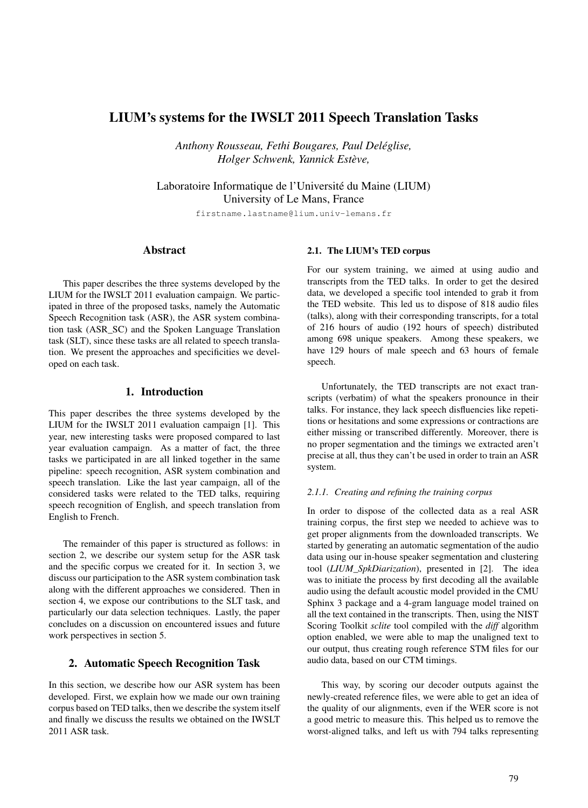# LIUM's systems for the IWSLT 2011 Speech Translation Tasks

*Anthony Rousseau, Fethi Bougares, Paul Deléglise, Holger Schwenk, Yannick Estève,*

Laboratoire Informatique de l'Université du Maine (LIUM) University of Le Mans, France

firstname.lastname@lium.univ-lemans.fr

## Abstract

This paper describes the three systems developed by the LIUM for the IWSLT 2011 evaluation campaign. We participated in three of the proposed tasks, namely the Automatic Speech Recognition task (ASR), the ASR system combination task (ASR\_SC) and the Spoken Language Translation task (SLT), since these tasks are all related to speech translation. We present the approaches and specificities we developed on each task.

### 1. Introduction

This paper describes the three systems developed by the LIUM for the IWSLT 2011 evaluation campaign [1]. This year, new interesting tasks were proposed compared to last year evaluation campaign. As a matter of fact, the three tasks we participated in are all linked together in the same pipeline: speech recognition, ASR system combination and speech translation. Like the last year campaign, all of the considered tasks were related to the TED talks, requiring speech recognition of English, and speech translation from English to French.

The remainder of this paper is structured as follows: in section 2, we describe our system setup for the ASR task and the specific corpus we created for it. In section 3, we discuss our participation to the ASR system combination task along with the different approaches we considered. Then in section 4, we expose our contributions to the SLT task, and particularly our data selection techniques. Lastly, the paper concludes on a discussion on encountered issues and future work perspectives in section 5.

### 2. Automatic Speech Recognition Task

In this section, we describe how our ASR system has been developed. First, we explain how we made our own training corpus based on TED talks, then we describe the system itself and finally we discuss the results we obtained on the IWSLT 2011 ASR task.

### 2.1. The LIUM's TED corpus

For our system training, we aimed at using audio and transcripts from the TED talks. In order to get the desired data, we developed a specific tool intended to grab it from the TED website. This led us to dispose of 818 audio files (talks), along with their corresponding transcripts, for a total of 216 hours of audio (192 hours of speech) distributed among 698 unique speakers. Among these speakers, we have 129 hours of male speech and 63 hours of female speech.

Unfortunately, the TED transcripts are not exact transcripts (verbatim) of what the speakers pronounce in their talks. For instance, they lack speech disfluencies like repetitions or hesitations and some expressions or contractions are either missing or transcribed differently. Moreover, there is no proper segmentation and the timings we extracted aren't precise at all, thus they can't be used in order to train an ASR system.

### *2.1.1. Creating and refining the training corpus*

In order to dispose of the collected data as a real ASR training corpus, the first step we needed to achieve was to get proper alignments from the downloaded transcripts. We started by generating an automatic segmentation of the audio data using our in-house speaker segmentation and clustering tool (*LIUM\_SpkDiarization*), presented in [2]. The idea was to initiate the process by first decoding all the available audio using the default acoustic model provided in the CMU Sphinx 3 package and a 4-gram language model trained on all the text contained in the transcripts. Then, using the NIST Scoring Toolkit *sclite* tool compiled with the *diff* algorithm option enabled, we were able to map the unaligned text to our output, thus creating rough reference STM files for our audio data, based on our CTM timings.

This way, by scoring our decoder outputs against the newly-created reference files, we were able to get an idea of the quality of our alignments, even if the WER score is not a good metric to measure this. This helped us to remove the worst-aligned talks, and left us with 794 talks representing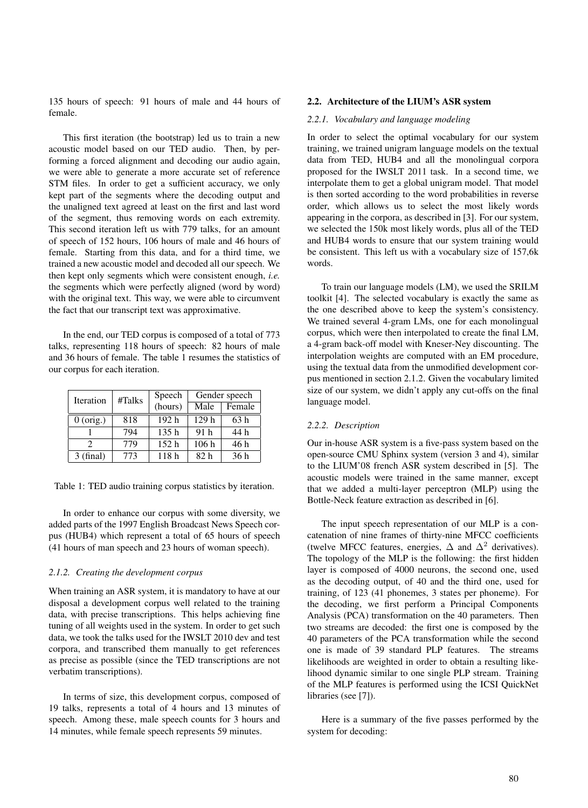135 hours of speech: 91 hours of male and 44 hours of female.

This first iteration (the bootstrap) led us to train a new acoustic model based on our TED audio. Then, by performing a forced alignment and decoding our audio again, we were able to generate a more accurate set of reference STM files. In order to get a sufficient accuracy, we only kept part of the segments where the decoding output and the unaligned text agreed at least on the first and last word of the segment, thus removing words on each extremity. This second iteration left us with 779 talks, for an amount of speech of 152 hours, 106 hours of male and 46 hours of female. Starting from this data, and for a third time, we trained a new acoustic model and decoded all our speech. We then kept only segments which were consistent enough, *i.e.* the segments which were perfectly aligned (word by word) with the original text. This way, we were able to circumvent the fact that our transcript text was approximative.

In the end, our TED corpus is composed of a total of 773 talks, representing 118 hours of speech: 82 hours of male and 36 hours of female. The table 1 resumes the statistics of our corpus for each iteration.

| Iteration                   | #Talks |                  | Gender speech    |        |  |
|-----------------------------|--------|------------------|------------------|--------|--|
|                             |        | (hours)          | Male             | Female |  |
| $0$ (orig.)                 | 818    | 192 <sub>h</sub> | 129 <sub>h</sub> | 63h    |  |
|                             | 794    | 135h             | 91 <sub>h</sub>  | 44 h   |  |
| $\mathcal{D}_{\mathcal{A}}$ | 779    | 152h             | 106h             | 46 h   |  |
| $3$ (final)                 | 773    | 118h             | 82 <sub>h</sub>  | 36h    |  |

Table 1: TED audio training corpus statistics by iteration.

In order to enhance our corpus with some diversity, we added parts of the 1997 English Broadcast News Speech corpus (HUB4) which represent a total of 65 hours of speech (41 hours of man speech and 23 hours of woman speech).

### *2.1.2. Creating the development corpus*

When training an ASR system, it is mandatory to have at our disposal a development corpus well related to the training data, with precise transcriptions. This helps achieving fine tuning of all weights used in the system. In order to get such data, we took the talks used for the IWSLT 2010 dev and test corpora, and transcribed them manually to get references as precise as possible (since the TED transcriptions are not verbatim transcriptions).

In terms of size, this development corpus, composed of 19 talks, represents a total of 4 hours and 13 minutes of speech. Among these, male speech counts for 3 hours and 14 minutes, while female speech represents 59 minutes.

#### 2.2. Architecture of the LIUM's ASR system

#### *2.2.1. Vocabulary and language modeling*

In order to select the optimal vocabulary for our system training, we trained unigram language models on the textual data from TED, HUB4 and all the monolingual corpora proposed for the IWSLT 2011 task. In a second time, we interpolate them to get a global unigram model. That model is then sorted according to the word probabilities in reverse order, which allows us to select the most likely words appearing in the corpora, as described in [3]. For our system, we selected the 150k most likely words, plus all of the TED and HUB4 words to ensure that our system training would be consistent. This left us with a vocabulary size of 157,6k words.

To train our language models (LM), we used the SRILM toolkit [4]. The selected vocabulary is exactly the same as the one described above to keep the system's consistency. We trained several 4-gram LMs, one for each monolingual corpus, which were then interpolated to create the final LM, a 4-gram back-off model with Kneser-Ney discounting. The interpolation weights are computed with an EM procedure, using the textual data from the unmodified development corpus mentioned in section 2.1.2. Given the vocabulary limited size of our system, we didn't apply any cut-offs on the final language model.

### *2.2.2. Description*

Our in-house ASR system is a five-pass system based on the open-source CMU Sphinx system (version 3 and 4), similar to the LIUM'08 french ASR system described in [5]. The acoustic models were trained in the same manner, except that we added a multi-layer perceptron (MLP) using the Bottle-Neck feature extraction as described in [6].

The input speech representation of our MLP is a concatenation of nine frames of thirty-nine MFCC coefficients (twelve MFCC features, energies,  $\Delta$  and  $\Delta^2$  derivatives). The topology of the MLP is the following: the first hidden layer is composed of 4000 neurons, the second one, used as the decoding output, of 40 and the third one, used for training, of 123 (41 phonemes, 3 states per phoneme). For the decoding, we first perform a Principal Components Analysis (PCA) transformation on the 40 parameters. Then two streams are decoded: the first one is composed by the 40 parameters of the PCA transformation while the second one is made of 39 standard PLP features. The streams likelihoods are weighted in order to obtain a resulting likelihood dynamic similar to one single PLP stream. Training of the MLP features is performed using the ICSI QuickNet libraries (see [7]).

Here is a summary of the five passes performed by the system for decoding: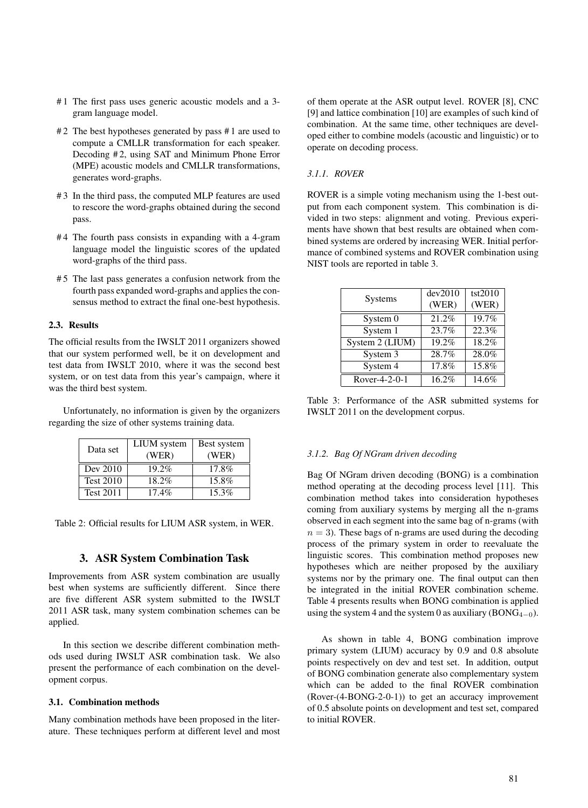- # 1 The first pass uses generic acoustic models and a 3 gram language model.
- #2 The best hypotheses generated by pass #1 are used to compute a CMLLR transformation for each speaker. Decoding #2, using SAT and Minimum Phone Error (MPE) acoustic models and CMLLR transformations, generates word-graphs.
- # 3 In the third pass, the computed MLP features are used to rescore the word-graphs obtained during the second pass.
- #4 The fourth pass consists in expanding with a 4-gram language model the linguistic scores of the updated word-graphs of the third pass.
- # 5 The last pass generates a confusion network from the fourth pass expanded word-graphs and applies the consensus method to extract the final one-best hypothesis.

### 2.3. Results

The official results from the IWSLT 2011 organizers showed that our system performed well, be it on development and test data from IWSLT 2010, where it was the second best system, or on test data from this year's campaign, where it was the third best system.

Unfortunately, no information is given by the organizers regarding the size of other systems training data.

| Data set         | <b>LIUM</b> system | Best system |
|------------------|--------------------|-------------|
|                  | (WER)              | (WER)       |
| Dev 2010         | $19.2\%$           | 17.8%       |
| <b>Test 2010</b> | $18.2\%$           | 15.8%       |
| <b>Test 2011</b> | $17.4\%$           | $15.3\%$    |

Table 2: Official results for LIUM ASR system, in WER.

### 3. ASR System Combination Task

Improvements from ASR system combination are usually best when systems are sufficiently different. Since there are five different ASR system submitted to the IWSLT 2011 ASR task, many system combination schemes can be applied.

In this section we describe different combination methods used during IWSLT ASR combination task. We also present the performance of each combination on the development corpus.

### 3.1. Combination methods

Many combination methods have been proposed in the literature. These techniques perform at different level and most of them operate at the ASR output level. ROVER [8], CNC [9] and lattice combination [10] are examples of such kind of combination. At the same time, other techniques are developed either to combine models (acoustic and linguistic) or to operate on decoding process.

### *3.1.1. ROVER*

ROVER is a simple voting mechanism using the 1-best output from each component system. This combination is divided in two steps: alignment and voting. Previous experiments have shown that best results are obtained when combined systems are ordered by increasing WER. Initial performance of combined systems and ROVER combination using NIST tools are reported in table 3.

|                 | dev2010 | tst2010 |
|-----------------|---------|---------|
| <b>Systems</b>  | (WER)   | (WER)   |
| System 0        | 21.2%   | 19.7%   |
| System 1        | 23.7%   | 22.3%   |
| System 2 (LIUM) | 19.2%   | 18.2%   |
| System 3        | 28.7%   | 28.0%   |
| System 4        | 17.8%   | 15.8%   |
| Rover-4-2-0-1   | 16.2%   | 14.6%   |

Table 3: Performance of the ASR submitted systems for IWSLT 2011 on the development corpus.

#### *3.1.2. Bag Of NGram driven decoding*

Bag Of NGram driven decoding (BONG) is a combination method operating at the decoding process level [11]. This combination method takes into consideration hypotheses coming from auxiliary systems by merging all the n-grams observed in each segment into the same bag of n-grams (with  $n = 3$ ). These bags of n-grams are used during the decoding process of the primary system in order to reevaluate the linguistic scores. This combination method proposes new hypotheses which are neither proposed by the auxiliary systems nor by the primary one. The final output can then be integrated in the initial ROVER combination scheme. Table 4 presents results when BONG combination is applied using the system 4 and the system 0 as auxiliary (BONG<sub>4−0</sub>).

As shown in table 4, BONG combination improve primary system (LIUM) accuracy by 0.9 and 0.8 absolute points respectively on dev and test set. In addition, output of BONG combination generate also complementary system which can be added to the final ROVER combination (Rover-(4-BONG-2-0-1)) to get an accuracy improvement of 0.5 absolute points on development and test set, compared to initial ROVER.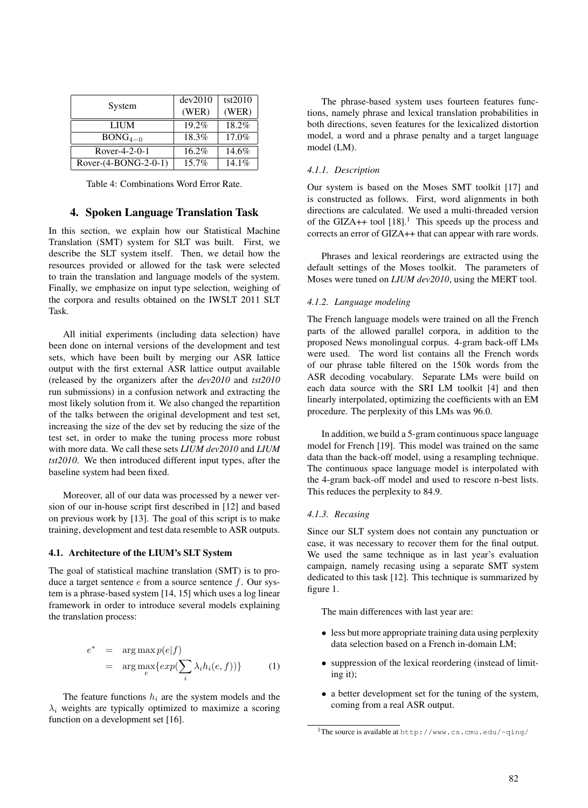| System               | dev2010<br>(WER) | tst2010<br>(WER) |
|----------------------|------------------|------------------|
| <b>LIUM</b>          | 19.2%            | 18.2%            |
| $BONG4-0$            | 18.3%            | 17.0%            |
| Rover-4-2-0-1        | $16.2\%$         | 14.6%            |
| Rover-(4-BONG-2-0-1) | 15.7%            | 14.1%            |

Table 4: Combinations Word Error Rate.

### 4. Spoken Language Translation Task

In this section, we explain how our Statistical Machine Translation (SMT) system for SLT was built. First, we describe the SLT system itself. Then, we detail how the resources provided or allowed for the task were selected to train the translation and language models of the system. Finally, we emphasize on input type selection, weighing of the corpora and results obtained on the IWSLT 2011 SLT Task.

All initial experiments (including data selection) have been done on internal versions of the development and test sets, which have been built by merging our ASR lattice output with the first external ASR lattice output available (released by the organizers after the *dev2010* and *tst2010* run submissions) in a confusion network and extracting the most likely solution from it. We also changed the repartition of the talks between the original development and test set, increasing the size of the dev set by reducing the size of the test set, in order to make the tuning process more robust with more data. We call these sets *LIUM dev2010* and *LIUM tst2010*. We then introduced different input types, after the baseline system had been fixed.

Moreover, all of our data was processed by a newer version of our in-house script first described in [12] and based on previous work by [13]. The goal of this script is to make training, development and test data resemble to ASR outputs.

#### 4.1. Architecture of the LIUM's SLT System

The goal of statistical machine translation (SMT) is to produce a target sentence  $e$  from a source sentence  $f$ . Our system is a phrase-based system [14, 15] which uses a log linear framework in order to introduce several models explaining the translation process:

$$
e^* = \arg \max_{e} p(e|f)
$$
  
= 
$$
\arg \max_{e} \{ exp(\sum_{i} \lambda_i h_i(e, f)) \}
$$
 (1)

The feature functions  $h_i$  are the system models and the  $\lambda_i$  weights are typically optimized to maximize a scoring function on a development set [16].

The phrase-based system uses fourteen features functions, namely phrase and lexical translation probabilities in both directions, seven features for the lexicalized distortion model, a word and a phrase penalty and a target language model (LM).

### *4.1.1. Description*

Our system is based on the Moses SMT toolkit [17] and is constructed as follows. First, word alignments in both directions are calculated. We used a multi-threaded version of the GIZA++ tool  $[18]$ .<sup>1</sup> This speeds up the process and corrects an error of GIZA++ that can appear with rare words.

Phrases and lexical reorderings are extracted using the default settings of the Moses toolkit. The parameters of Moses were tuned on *LIUM dev2010*, using the MERT tool.

#### *4.1.2. Language modeling*

The French language models were trained on all the French parts of the allowed parallel corpora, in addition to the proposed News monolingual corpus. 4-gram back-off LMs were used. The word list contains all the French words of our phrase table filtered on the 150k words from the ASR decoding vocabulary. Separate LMs were build on each data source with the SRI LM toolkit [4] and then linearly interpolated, optimizing the coefficients with an EM procedure. The perplexity of this LMs was 96.0.

In addition, we build a 5-gram continuous space language model for French [19]. This model was trained on the same data than the back-off model, using a resampling technique. The continuous space language model is interpolated with the 4-gram back-off model and used to rescore n-best lists. This reduces the perplexity to 84.9.

### *4.1.3. Recasing*

Since our SLT system does not contain any punctuation or case, it was necessary to recover them for the final output. We used the same technique as in last year's evaluation campaign, namely recasing using a separate SMT system dedicated to this task [12]. This technique is summarized by figure 1.

The main differences with last year are:

- less but more appropriate training data using perplexity data selection based on a French in-domain LM;
- suppression of the lexical reordering (instead of limiting it);
- a better development set for the tuning of the system, coming from a real ASR output.

<sup>1</sup>The source is available at http://www.cs.cmu.edu/~qing/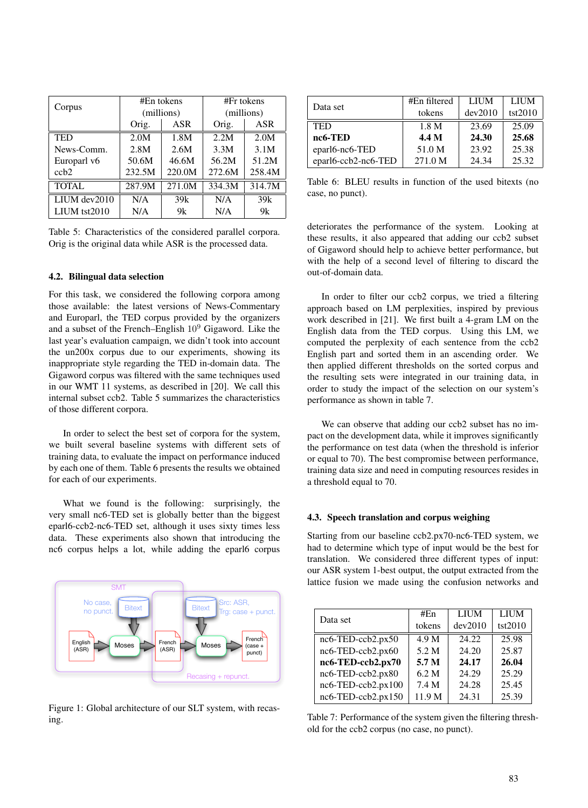| Corpus       | $#En$ tokens |            | #Fr tokens |            |
|--------------|--------------|------------|------------|------------|
|              |              | (millions) |            | (millions) |
|              | ASR<br>Orig. |            | Orig.      | ASR        |
| <b>TED</b>   | 2.0M         | 1.8M       | 2.2M       | 2.0M       |
| News-Comm.   | 2.8M         | 2.6M       | 3.3M       | 3.1M       |
| Europarl v6  | 50.6M        | 46.6M      | 56.2M      | 51.2M      |
| $\cosh 2$    | 232.5M       | 220.0M     | 272.6M     | 258.4M     |
| <b>TOTAL</b> | 287.9M       | 271.0M     | 334.3M     | 314.7M     |
| LIUM dev2010 | N/A          | 39k        | N/A        | 39k        |
| LIUM tst2010 | N/A          | 9k         | N/A        | 9k         |

Table 5: Characteristics of the considered parallel corpora. Orig is the original data while ASR is the processed data.

### 4.2. Bilingual data selection

For this task, we considered the following corpora among those available: the latest versions of News-Commentary and Europarl, the TED corpus provided by the organizers and a subset of the French–English  $10^9$  Gigaword. Like the last year's evaluation campaign, we didn't took into account the un200x corpus due to our experiments, showing its inappropriate style regarding the TED in-domain data. The Gigaword corpus was filtered with the same techniques used in our WMT 11 systems, as described in [20]. We call this internal subset ccb2. Table 5 summarizes the characteristics of those different corpora.

In order to select the best set of corpora for the system, we built several baseline systems with different sets of training data, to evaluate the impact on performance induced by each one of them. Table 6 presents the results we obtained for each of our experiments.

What we found is the following: surprisingly, the very small nc6-TED set is globally better than the biggest eparl6-ccb2-nc6-TED set, although it uses sixty times less data. These experiments also shown that introducing the nc6 corpus helps a lot, while adding the eparl6 corpus



Figure 1: Global architecture of our SLT system, with recasing.

| Data set            | #En filtered     | LIUM    | <b>LIUM</b> |
|---------------------|------------------|---------|-------------|
|                     | tokens           | dev2010 | tst2010     |
| <b>TED</b>          | 1.8 <sub>M</sub> | 23.69   | 25.09       |
| nc6-TED             | 4.4 M            | 24.30   | 25.68       |
| eparl6-nc6-TED      | 51.0 M           | 23.92   | 25.38       |
| eparl6-ccb2-nc6-TED | 271.0 M          | 24.34   | 25.32       |

Table 6: BLEU results in function of the used bitexts (no case, no punct).

deteriorates the performance of the system. Looking at these results, it also appeared that adding our ccb2 subset of Gigaword should help to achieve better performance, but with the help of a second level of filtering to discard the out-of-domain data.

In order to filter our ccb2 corpus, we tried a filtering approach based on LM perplexities, inspired by previous work described in [21]. We first built a 4-gram LM on the English data from the TED corpus. Using this LM, we computed the perplexity of each sentence from the ccb2 English part and sorted them in an ascending order. We then applied different thresholds on the sorted corpus and the resulting sets were integrated in our training data, in order to study the impact of the selection on our system's performance as shown in table 7.

We can observe that adding our ccb2 subset has no impact on the development data, while it improves significantly the performance on test data (when the threshold is inferior or equal to 70). The best compromise between performance, training data size and need in computing resources resides in a threshold equal to 70.

#### 4.3. Speech translation and corpus weighing

Starting from our baseline ccb2.px70-nc6-TED system, we had to determine which type of input would be the best for translation. We considered three different types of input: our ASR system 1-best output, the output extracted from the lattice fusion we made using the confusion networks and

| Data set                     | # $En$ | <b>LIUM</b> | <b>LIUM</b> |
|------------------------------|--------|-------------|-------------|
|                              | tokens | dev2010     | tst2010     |
| nc6-TED-ccb2.px50            | 4.9 M  | 24.22       | 25.98       |
| nc6-TED-ccb2.px60            | 5.2 M  | 24.20       | 25.87       |
| nc6-TED-ccb2.px70            | 5.7 M  | 24.17       | 26.04       |
| nc6-TED-ccb2.px80            | 6.2 M  | 24.29       | 25.29       |
| $nc6$ -TED- $ccb2$ .px100    | 7.4 M  | 24.28       | 25.45       |
| $nc6$ -TED- $ccb2$ . $px150$ | 11.9 M | 24.31       | 25.39       |

Table 7: Performance of the system given the filtering threshold for the ccb2 corpus (no case, no punct).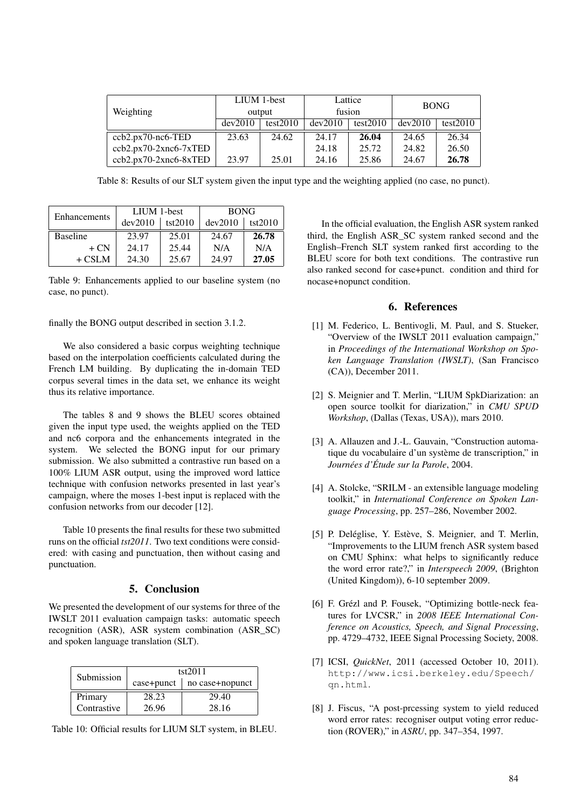| Weighting                | LIUM 1-best<br>output |          | Lattice<br>fusion |          | <b>BONG</b> |          |
|--------------------------|-----------------------|----------|-------------------|----------|-------------|----------|
|                          | dev2010               | test2010 | dev2010           | test2010 | dev2010     | test2010 |
| $ccb2.pyx70-nc6-TED$     | 23.63                 | 24.62    | 24.17             | 26.04    | 24.65       | 26.34    |
| ccb2.px70-2xnc6-7xTED    |                       |          | 24.18             | 25.72    | 24.82       | 26.50    |
| $ccb2.pyx70-2xnc6-8xTED$ | 23.97                 | 25.01    | 24.16             | 25.86    | 24.67       | 26.78    |

Table 8: Results of our SLT system given the input type and the weighting applied (no case, no punct).

| Enhancements    | LIUM 1-best |         | <b>BONG</b> |         |
|-----------------|-------------|---------|-------------|---------|
|                 | dev2010     | tst2010 | dev2010     | tst2010 |
| <b>Baseline</b> | 23.97       | 25.01   | 24.67       | 26.78   |
| $+ CN$          | 24.17       | 25.44   | N/A         | N/A     |
| $+$ CSLM        | 24.30       | 25.67   | 24.97       | 27.05   |

Table 9: Enhancements applied to our baseline system (no case, no punct).

finally the BONG output described in section 3.1.2.

We also considered a basic corpus weighting technique based on the interpolation coefficients calculated during the French LM building. By duplicating the in-domain TED corpus several times in the data set, we enhance its weight thus its relative importance.

The tables 8 and 9 shows the BLEU scores obtained given the input type used, the weights applied on the TED and nc6 corpora and the enhancements integrated in the system. We selected the BONG input for our primary submission. We also submitted a contrastive run based on a 100% LIUM ASR output, using the improved word lattice technique with confusion networks presented in last year's campaign, where the moses 1-best input is replaced with the confusion networks from our decoder [12].

Table 10 presents the final results for these two submitted runs on the official *tst2011*. Two text conditions were considered: with casing and punctuation, then without casing and punctuation.

# 5. Conclusion

We presented the development of our systems for three of the IWSLT 2011 evaluation campaign tasks: automatic speech recognition (ASR), ASR system combination (ASR\_SC) and spoken language translation (SLT).

| Submission  | tst2011    |                 |  |
|-------------|------------|-----------------|--|
|             | case+punct | no case+nopunct |  |
| Primary     | 28.23      | 29.40           |  |
| Contrastive | 26.96      | 28.16           |  |

Table 10: Official results for LIUM SLT system, in BLEU.

In the official evaluation, the English ASR system ranked third, the English ASR\_SC system ranked second and the English–French SLT system ranked first according to the BLEU score for both text conditions. The contrastive run also ranked second for case+punct. condition and third for nocase+nopunct condition.

### 6. References

- [1] M. Federico, L. Bentivogli, M. Paul, and S. Stueker, "Overview of the IWSLT 2011 evaluation campaign," in *Proceedings of the International Workshop on Spoken Language Translation (IWSLT)*, (San Francisco (CA)), December 2011.
- [2] S. Meignier and T. Merlin, "LIUM SpkDiarization: an open source toolkit for diarization," in *CMU SPUD Workshop*, (Dallas (Texas, USA)), mars 2010.
- [3] A. Allauzen and J.-L. Gauvain, "Construction automatique du vocabulaire d'un système de transcription," in *Journées d'Étude sur la Parole*, 2004.
- [4] A. Stolcke, "SRILM an extensible language modeling toolkit," in *International Conference on Spoken Language Processing*, pp. 257–286, November 2002.
- [5] P. Deléglise, Y. Estève, S. Meignier, and T. Merlin, "Improvements to the LIUM french ASR system based on CMU Sphinx: what helps to significantly reduce the word error rate?," in *Interspeech 2009*, (Brighton (United Kingdom)), 6-10 september 2009.
- [6] F. Grézl and P. Fousek, "Optimizing bottle-neck features for LVCSR," in *2008 IEEE International Conference on Acoustics, Speech, and Signal Processing*, pp. 4729–4732, IEEE Signal Processing Society, 2008.
- [7] ICSI, *QuickNet*, 2011 (accessed October 10, 2011). http://www.icsi.berkeley.edu/Speech/ qn.html.
- [8] J. Fiscus, "A post-prcessing system to yield reduced word error rates: recogniser output voting error reduction (ROVER)," in *ASRU*, pp. 347–354, 1997.